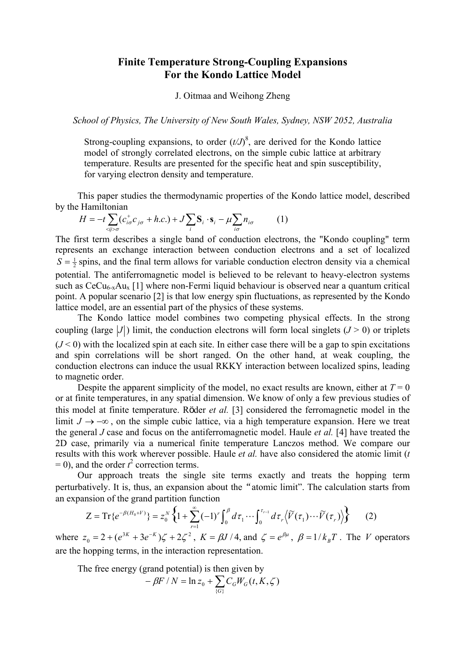## **Finite Temperature Strong-Coupling Expansions For the Kondo Lattice Model**

## J. Oitmaa and Weihong Zheng

*School of Physics, The University of New South Wales, Sydney, NSW 2052, Australia* 

Strong-coupling expansions, to order  $(t/J)^8$ , are derived for the Kondo lattice model of strongly correlated electrons, on the simple cubic lattice at arbitrary temperature. Results are presented for the specific heat and spin susceptibility, for varying electron density and temperature.

This paper studies the thermodynamic properties of the Kondo lattice model, described by the Hamiltonian

$$
H = -t \sum_{\langle ij\rangle\sigma} (c_{i\sigma}^+ c_{j\sigma} + h.c.) + J \sum_i \mathbf{S}_i \cdot \mathbf{s}_i - \mu \sum_{i\sigma} n_{i\sigma} \tag{1}
$$

The first term describes a single band of conduction electrons, the "Kondo coupling" term represents an exchange interaction between conduction electrons and a set of localized  $S = \frac{1}{2}$  spins, and the final term allows for variable conduction electron density via a chemical potential. The antiferromagnetic model is believed to be relevant to heavy-electron systems such as  $CeCu<sub>6-x</sub>Au<sub>x</sub>$  [1] where non-Fermi liquid behaviour is observed near a quantum critical point. A popular scenario [2] is that low energy spin fluctuations, as represented by the Kondo lattice model, are an essential part of the physics of these systems.

The Kondo lattice model combines two competing physical effects. In the strong coupling (large  $|J|$ ) limit, the conduction electrons will form local singlets ( $J > 0$ ) or triplets  $(J < 0)$  with the localized spin at each site. In either case there will be a gap to spin excitations and spin correlations will be short ranged. On the other hand, at weak coupling, the conduction electrons can induce the usual RKKY interaction between localized spins, leading to magnetic order.

Despite the apparent simplicity of the model, no exact results are known, either at  $T = 0$ or at finite temperatures, in any spatial dimension. We know of only a few previous studies of this model at finite temperature. Röder *et al.* [3] considered the ferromagnetic model in the limit  $J \rightarrow -\infty$ , on the simple cubic lattice, via a high temperature expansion. Here we treat the general *J* case and focus on the antiferromagnetic model. Haule *et al.* [4] have treated the 2D case, primarily via a numerical finite temperature Lanczos method. We compare our results with this work wherever possible. Haule *et al.* have also considered the atomic limit (*t*   $= 0$ ), and the order  $t^2$  correction terms.

Our approach treats the single site terms exactly and treats the hopping term perturbatively. It is, thus, an expansion about the "atomic limit". The calculation starts from an expansion of the grand partition function

$$
Z = \text{Tr}\{e^{-\beta(H_0 + V)}\} = z_0^N \left\{1 + \sum_{r=1}^{\infty} (-1)^r \int_0^{\beta} d\tau_1 \cdots \int_0^{\tau_{r-1}} d\tau_r \left\langle \widetilde{V}(\tau_1) \cdots \widetilde{V}(\tau_r) \right\rangle \right\}
$$
 (2)

where  $z_0 = 2 + (e^{3K} + 3e^{-K})\zeta + 2\zeta^2$ ,  $K = \beta J/4$ , and  $\zeta = e^{\beta \mu}$ ,  $\beta = 1/k_B T$ . The *V* operators are the hopping terms, in the interaction representation.

The free energy (grand potential) is then given by

$$
-\beta F/N = \ln z_0 + \sum_{\{G\}} C_G W_G(t, K, \zeta)
$$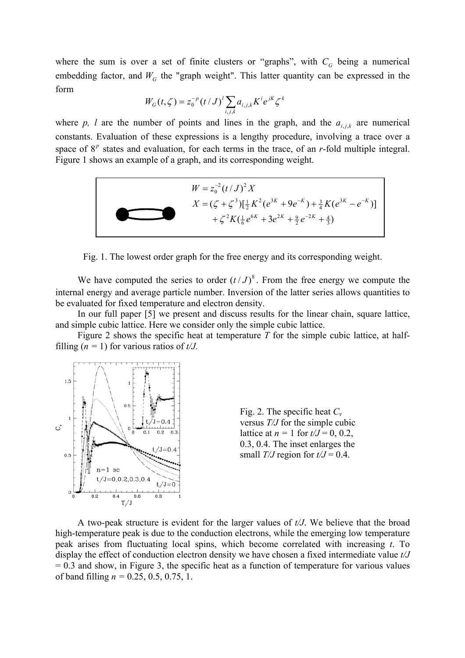where the sum is over a set of finite clusters or "graphs", with  $C_G$  being a numerical embedding factor, and  $W<sub>G</sub>$  the "graph weight". This latter quantity can be expressed in the form

$$
W_G(t,\zeta) = z_0^{-p} (t/J)^l \sum_{i,j,k} a_{i,j,k} K^i e^{jk} \zeta^k
$$

where p, l are the number of points and lines in the graph, and the  $a_{i,j,k}$  are numerical constants. Evaluation of these expressions is a lengthy procedure, involving a trace over a space of  $8^p$  states and evaluation, for each terms in the trace, of an  $r$ -fold multiple integral. Figure 1 shows an example of a graph, and its corresponding weight.



Fig. 1. The lowest order graph for the free energy and its corresponding weight.

We have computed the series to order  $(t/J)^8$ . From the free energy we compute the internal energy and average particle number. Inversion of the latter series allows quantities to be evaluated for fixed temperature and electron density.

In our full paper [5] we present and discuss results for the linear chain, square lattice, and simple cubic lattice. Here we consider only the simple cubic lattice.

Figure 2 shows the specific heat at temperature *T* for the simple cubic lattice, at halffilling  $(n = 1)$  for various ratios of  $t/J$ .





A two-peak structure is evident for the larger values of *t/J*. We believe that the broad high-temperature peak is due to the conduction electrons, while the emerging low temperature peak arises from fluctuating local spins, which become correlated with increasing *t*. To display the effect of conduction electron density we have chosen a fixed intermediate value *t/J*   $= 0.3$  and show, in Figure 3, the specific heat as a function of temperature for various values of band filling *n =* 0.25, 0.5, 0.75, 1.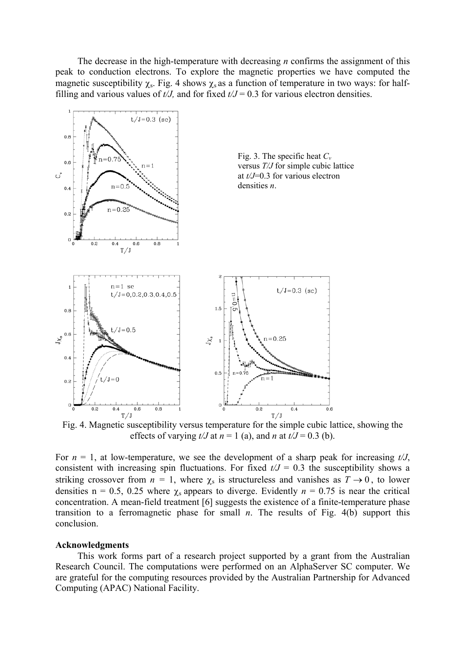The decrease in the high-temperature with decreasing *n* confirms the assignment of this peak to conduction electrons. To explore the magnetic properties we have computed the magnetic susceptibility  $\chi_s$ . Fig. 4 shows  $\chi_s$  as a function of temperature in two ways: for halffilling and various values of  $t/J$ , and for fixed  $t/J = 0.3$  for various electron densities.



effects of varying  $t/J$  at  $n = 1$  (a), and *n* at  $t/J = 0.3$  (b).

For  $n = 1$ , at low-temperature, we see the development of a sharp peak for increasing  $t/J$ , consistent with increasing spin fluctuations. For fixed  $t/J = 0.3$  the susceptibility shows a striking crossover from  $n = 1$ , where  $\chi_s$  is structureless and vanishes as  $T \to 0$ , to lower densities  $n = 0.5, 0.25$  where  $\chi_s$  appears to diverge. Evidently  $n = 0.75$  is near the critical concentration. A mean-field treatment [6] suggests the existence of a finite-temperature phase transition to a ferromagnetic phase for small *n*. The results of Fig. 4(b) support this conclusion.

## **Acknowledgments**

This work forms part of a research project supported by a grant from the Australian Research Council. The computations were performed on an AlphaServer SC computer. We are grateful for the computing resources provided by the Australian Partnership for Advanced Computing (APAC) National Facility.